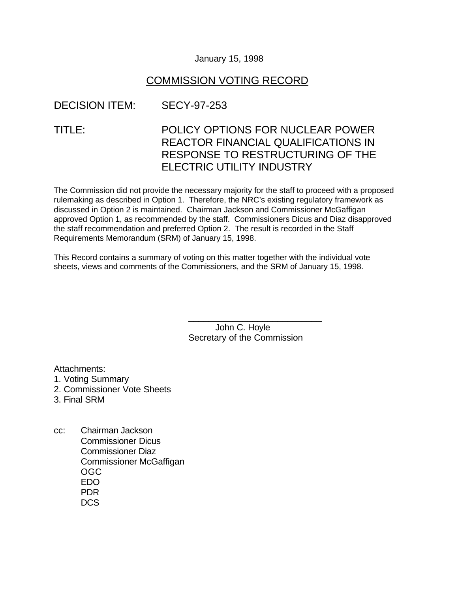#### January 15, 1998

#### COMMISSION VOTING RECORD

### DECISION ITEM: SECY-97-253

# TITLE: POLICY OPTIONS FOR NUCLEAR POWER REACTOR FINANCIAL QUALIFICATIONS IN RESPONSE TO RESTRUCTURING OF THE ELECTRIC UTILITY INDUSTRY

The Commission did not provide the necessary majority for the staff to proceed with a proposed rulemaking as described in Option 1. Therefore, the NRC's existing regulatory framework as discussed in Option 2 is maintained. Chairman Jackson and Commissioner McGaffigan approved Option 1, as recommended by the staff. Commissioners Dicus and Diaz disapproved the staff recommendation and preferred Option 2. The result is recorded in the Staff Requirements Memorandum (SRM) of January 15, 1998.

This Record contains a summary of voting on this matter together with the individual vote sheets, views and comments of the Commissioners, and the SRM of January 15, 1998.

> John C. Hoyle Secretary of the Commission

\_\_\_\_\_\_\_\_\_\_\_\_\_\_\_\_\_\_\_\_\_\_\_\_\_\_\_

Attachments:

- 1. Voting Summary
- 2. Commissioner Vote Sheets
- 3. Final SRM
- cc: Chairman Jackson Commissioner Dicus Commissioner Diaz Commissioner McGaffigan OGC EDO PDR D<sub>CS</sub>